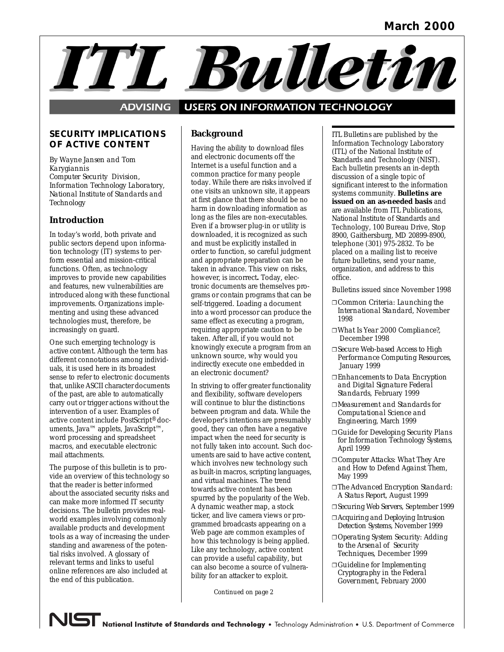# ITL Bulleti

#### **USERS ON INFORMATION TECHNOLOGY ADVISING**

#### *SECURITY IMPLICATIONS OF ACTIVE CONTENT*

 *By Wayne Jansen and Tom Karygiannis Computer Security Division, Information Technology Laboratory, National Institute of Standards and Technology* 

# **Introduction**

 introduced along with these functional In today's world, both private and public sectors depend upon information technology (IT) systems to perform essential and mission-critical functions. Often, as technology improves to provide new capabilities and features, new vulnerabilities are improvements. Organizations implementing and using these advanced technologies must, therefore, be increasingly on guard.

 One such emerging technology is macros, and executable electronic *active content*. Although the term has different connotations among individuals, it is used here in its broadest sense to refer to electronic documents that, unlike ASCII character documents of the past, are able to automatically carry out or trigger actions without the intervention of a user. Examples of active content include PostScript® documents, Java™ applets, JavaScript™, word processing and spreadsheet mail attachments.

 The purpose of this bulletin is to provide an overview of this technology so that the reader is better informed about the associated security risks and can make more informed IT security decisions. The bulletin provides realworld examples involving commonly available products and development tools as a way of increasing the understanding and awareness of the potential risks involved. A glossary of relevant terms and links to useful online references are also included at the end of this publication.

# **Background**

 today. While there are risks involved if downloaded, it is recognized as such taken in advance. This view on risks, into a word processor can produce the same effect as executing a program, indirectly execute one embedded in Having the ability to download files and electronic documents off the Internet is a useful function and a common practice for many people one visits an unknown site, it appears at first glance that there should be no harm in downloading information as long as the files are non-executables. Even if a browser plug-in or utility is and must be explicitly installed in order to function, so careful judgment and appropriate preparation can be however, is incorrect**.** Today, electronic documents are themselves programs or contain programs that can be self-triggered. Loading a document requiring appropriate caution to be taken. After all, if you would not knowingly execute a program from an unknown source, why would you an electronic document?

 uments are said to have active content, towards active content has been ticker, and live camera views or pro-In striving to offer greater functionality and flexibility, software developers will continue to blur the distinctions between program and data. While the developer's intentions are presumably good, they can often have a negative impact when the need for security is not fully taken into account. Such docwhich involves new technology such as built-in macros, scripting languages, and virtual machines. The trend spurred by the popularity of the Web. A dynamic weather map, a stock grammed broadcasts appearing on a Web page are common examples of how this technology is being applied. Like any technology, active content can provide a useful capability, but can also become a source of vulnerability for an attacker to exploit.

*Continued on page 2* 

 Information Technology Laboratory significant interest to the information Technology, 100 Bureau Drive, Stop *ITL Bulletins* are published by the (ITL) of the National Institute of Standards and Technology (NIST). Each bulletin presents an in-depth discussion of a single topic of systems community. **Bulletins are issued on an as-needed basis** and are available from ITL Publications, National Institute of Standards and 8900, Gaithersburg, MD 20899-8900, telephone (301) 975-2832. To be placed on a mailing list to receive future bulletins, send your name, organization, and address to this office.

Bulletins issued since November 1998

- ❐ *Common Criteria: Launching the International Standard,* November 1998
- ❐ *What Is Year 2000 Compliance?,* December 1998
- ❐ *Secure Web-based Access to High Performance Computing Resources,* January 1999
- ❐ *Enhancements to Data Encryption and Digital Signature Federal Standards,* February 1999
- ❐ *Measurement and Standards for Computational Science and Engineering*, March 1999
- *for Information Technology Systems*, ❐ *Guide for Developing Security Plans*  April 1999
- *and How to Defend Against Them,*  ❐ *Computer Attacks: What They Are*  May 1999
- ❐ *The Advanced Encryption Standard: A Status Report,* August 1999
- ❐ *Securing Web Servers,* September 1999
- ❐ *Acquiring and Deploying Intrusion Detection Systems*, November 1999
- *to the Arsenal of Security*  ❐ *Operating System Security: Adding Techniques,* December 1999
- ❐ *Guideline for Implementing Cryptography in the Federal Government*, February 2000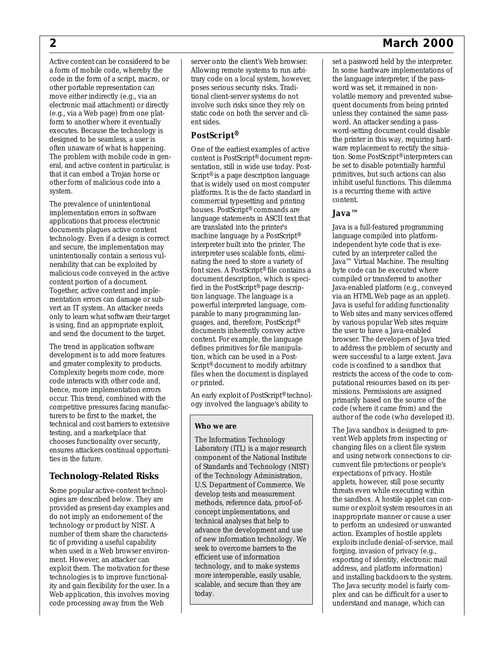a form of mobile code, whereby the often unaware of what is happening. The problem with mobile code in gen- that it can embed a Trojan horse or Active content can be considered to be code in the form of a script, macro, or other portable representation can move either indirectly (e.g., via an electronic mail attachment) or directly (e.g., via a Web page) from one platform to another where it eventually executes. Because the technology is designed to be seamless, a user is eral, and active content in particular, is other form of malicious code into a

 documents plagues active content technology. Even if a design is correct nerability that can be exploited by is using, find an appropriate exploit, The prevalence of unintentional implementation errors in software applications that process electronic and secure, the implementation may unintentionally contain a serious vulmalicious code conveyed in the active content portion of a document. Together, active content and implementation errors can damage or subvert an IT system. An attacker needs only to learn what software their target and send the document to the target.

 development is to add more features and greater complexity to products. testing, and a marketplace that chooses functionality over security, The trend in application software Complexity begets more code, more code interacts with other code and, hence, more implementation errors occur. This trend, combined with the competitive pressures facing manufacturers to be first to the market, the technical and cost barriers to extensive ensures attackers continual opportunities in the future.

#### **Technology-Related Risks**

 ogies are described below. They are do not imply an endorsement of the number of them share the characteris- exploit them. The motivation for these Some popular active-content technolprovided as present-day examples and technology or product by NIST. A tic of providing a useful capability when used in a Web browser environment. However, an attacker can technologies is to improve functionality and gain flexibility for the user. In a Web application, this involves moving code processing away from the Web

server onto the client's Web browser. Allowing remote systems to run arbitrary code on a local system, however, poses serious security risks. Traditional client-server systems do not involve such risks since they rely on static code on both the server and client sides.

#### *PostScript®*

 sentation, still in wide use today. Post- are translated into the printer's tion language. The language is a One of the earliest examples of active content is PostScript® document repre-Script<sup>®</sup> is a page description language that is widely used on most computer platforms. It is the de facto standard in commercial typesetting and printing houses. PostScript® commands are language statements in ASCII text that machine language by a PostScript® interpreter built into the printer. The interpreter uses scalable fonts, eliminating the need to store a variety of font sizes. A PostScript® file contains a document description, which is specified in the PostScript® page descrippowerful interpreted language, comparable to many programming languages, and, therefore, PostScript® documents inherently convey active content. For example, the language defines primitives for file manipulation, which can be used in a Post-Script® document to modify arbitrary files when the document is displayed or printed.

 An early exploit of PostScript® technology involved the language's ability to

#### **Who we are**

 component of the National Institute of Standards and Technology (NIST) technical analyses that help to scalable, and secure than they are The Information Technology Laboratory (ITL) is a major research of the Technology Administration, U.S. Department of Commerce. We develop tests and measurement methods, reference data, proof-ofconcept implementations, and advance the development and use of new information technology. We seek to overcome barriers to the efficient use of information technology, and to make systems more interoperable, easily usable, today.

# *2 March 2000*

 set a password held by the interpreter. word was set, it remained in non- is a recurring theme with active In some hardware implementations of the language interpreter, if the passvolatile memory and prevented subsequent documents from being printed unless they contained the same password. An attacker sending a password-setting document could disable the printer in this way, requiring hardware replacement to rectify the situation. Some PostScript® interpreters can be set to disable potentially harmful primitives, but such actions can also inhibit useful functions. This dilemma content.

#### *Java™*

 cuted by an interpreter called the compiled or transferred to another the user to have a Java-enabled code (where it came from) and the Java is a full-featured programming language compiled into platformindependent byte code that is exe-Java™ Virtual Machine. The resulting byte code can be executed where Java-enabled platform (e.g., conveyed via an HTML Web page as an applet). Java is useful for adding functionality to Web sites and many services offered by various popular Web sites require browser. The developers of Java tried to address the problem of security and were successful to a large extent. Java code is confined to a *sandbox* that restricts the access of the code to computational resources based on its permissions. Permissions are assigned primarily based on the source of the author of the code (who developed it).

 threats even while executing within The Java sandbox is designed to prevent Web applets from inspecting or changing files on a client file system and using network connections to circumvent file protections or people's expectations of privacy. Hostile applets, however, still pose security the sandbox. A hostile applet can consume or exploit system resources in an inappropriate manner or cause a user to perform an undesired or unwanted action. Examples of hostile applets exploits include denial-of-service, mail forging, invasion of privacy (e.g., exporting of identity, electronic mail address, and platform information) and installing backdoors to the system. The Java security model is fairly complex and can be difficult for a user to understand and manage, which can

system.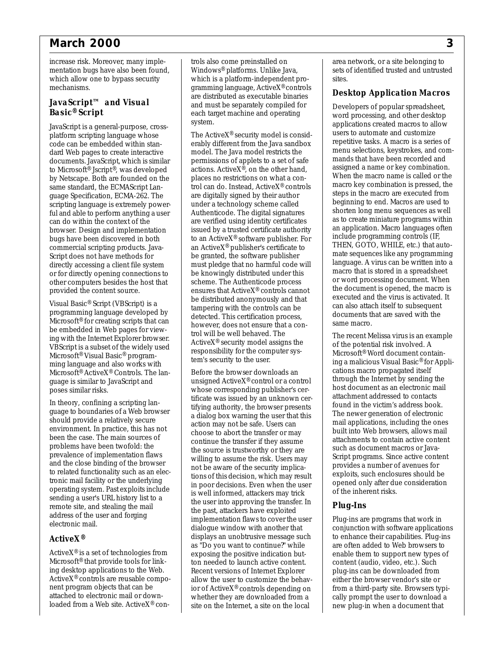# *March 2000 3*

increase risk. Moreover, many implementation bugs have also been found, which allow one to bypass security mechanisms.

#### *JavaScript™ and Visual Basic® Script*

 platform scripting language whose dard Web pages to create interactive to Microsoft® Jscript®, was developed directly accessing a client file system other computers besides the host that JavaScript is a general-purpose, crosscode can be embedded within standocuments. JavaScript, which is similar by Netscape. Both are founded on the same standard, the ECMAScript Language Specification, ECMA-262. The scripting language is extremely powerful and able to perform anything a user can do within the context of the browser. Design and implementation bugs have been discovered in both commercial scripting products. Java-Script does not have methods for or for directly opening connections to provided the content source.

 ing with the Internet Explorer browser. VBScript is a subset of the widely used Visual Basic® Script (VBScript) is a programming language developed by Microsoft® for creating scripts that can be embedded in Web pages for view-Microsoft® Visual Basic® programming language and also works with Microsoft® ActiveX® Controls. The language is similar to JavaScript and poses similar risks.

 should provide a relatively secure and the close binding of the browser operating system. Past exploits include sending a user's URL history list to a In theory, confining a scripting language to boundaries of a Web browser environment. In practice, this has not been the case. The main sources of problems have been twofold: the prevalence of implementation flaws to related functionality such as an electronic mail facility or the underlying remote site, and stealing the mail address of the user and forging electronic mail.

#### *ActiveX®*

 ing desktop applications to the Web. Active $X^{\circledR}$  is a set of technologies from Microsoft® that provide tools for link-ActiveX® controls are reusable component program objects that can be attached to electronic mail or downloaded from a Web site. ActiveX® con-

 and must be separately compiled for trols also come preinstalled on Windows® platforms. Unlike Java, which is a platform-independent programming language, ActiveX® controls are distributed as executable binaries each target machine and operating system.

 Authenticode. The digital signatures issued by a trusted certificate authority The ActiveX® security model is considerably different from the Java sandbox model. The Java model restricts the permissions of applets to a set of safe actions. Active $X^{\circledast}$ , on the other hand, places no restrictions on what a control can do. Instead, ActiveX® controls are digitally signed by their author under a technology scheme called are verified using identity certificates to an Active $X^{\circledR}$  software publisher. For an ActiveX® publisher's certificate to be granted, the software publisher must pledge that no harmful code will be knowingly distributed under this scheme. The Authenticode process ensures that ActiveX® controls cannot be distributed anonymously and that tampering with the controls can be detected. This certification process, however, does not ensure that a control will be well behaved. The Active $X^{\circledR}$  security model assigns the responsibility for the computer system's security to the user.

 continue the transfer if they assume not be aware of the security implica- tions of this decision, which may result ior of ActiveX® controls depending on Before the browser downloads an unsigned ActiveX®control or a control whose corresponding publisher's certificate was issued by an unknown certifying authority, the browser presents a dialog box warning the user that this action may not be safe. Users can choose to abort the transfer or may the source is trustworthy or they are willing to assume the risk. Users may in poor decisions. Even when the user is well informed, attackers may trick the user into approving the transfer. In the past, attackers have exploited implementation flaws to cover the user dialogue window with another that displays an unobtrusive message such as "Do you want to continue?" while exposing the positive indication button needed to launch active content. Recent versions of Internet Explorer allow the user to customize the behavwhether they are downloaded from a site on the Internet, a site on the local

area network, or a site belonging to sets of identified trusted and untrusted sites.

## *Desktop Application Macros*

 as to create miniature programs within Developers of popular spreadsheet, word processing, and other desktop applications created macros to allow users to automate and customize repetitive tasks. A macro is a series of menu selections, keystrokes, and commands that have been recorded and assigned a name or key combination. When the macro name is called or the macro key combination is pressed, the steps in the macro are executed from beginning to end. Macros are used to shorten long menu sequences as well an application. Macro languages often include programming controls (IF, THEN, GOTO, WHILE, etc.) that automate sequences like any programming language. A virus can be written into a macro that is stored in a spreadsheet or word processing document. When the document is opened, the macro is executed and the virus is activated. It can also attach itself to subsequent documents that are saved with the same macro.

 exploits, such enclosures should be The recent Melissa virus is an example of the potential risk involved. A Microsoft® Word document containing a malicious Visual Basic® for Applications macro propagated itself through the Internet by sending the host document as an electronic mail attachment addressed to contacts found in the victim's address book. The newer generation of electronic mail applications, including the ones built into Web browsers, allows mail attachments to contain active content such as document macros or Java-Script programs. Since active content provides a number of avenues for opened only after due consideration of the inherent risks.

# *Plug-Ins*

Plug-ins are programs that work in conjunction with software applications to enhance their capabilities. Plug-ins are often added to Web browsers to enable them to support new types of content (audio, video, etc.). Such plug-ins can be downloaded from either the browser vendor's site or from a third-party site. Browsers typically prompt the user to download a new plug-in when a document that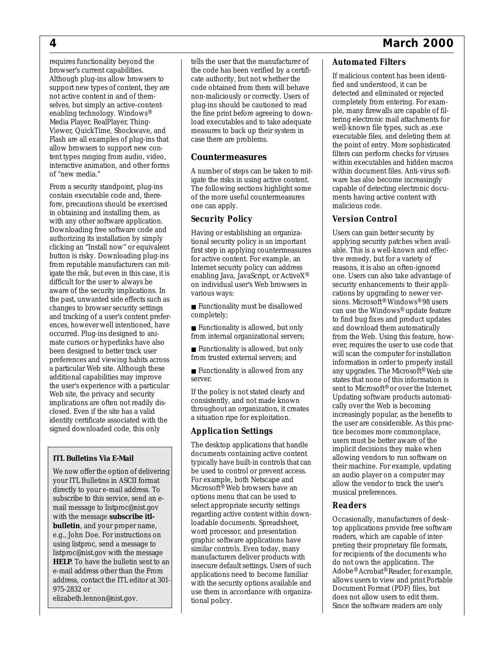#### requires functionality beyond the browser's current capabilities. Although plug-ins allow browsers to support new types of content, they are not active content in and of themselves, but simply an active-contentenabling technology. Windows® Media Player, RealPlayer, Thing-Viewer, QuickTime, Shockwave, and Flash are all examples of plug-ins that allow browsers to support new content types ranging from audio, video, interactive animation, and other forms of "new media."

 difficult for the user to always be changes to browser security settings implications are often not readily dis- identity certificate associated with the From a security standpoint, plug-ins contain executable code and, therefore, precautions should be exercised in obtaining and installing them, as with any other software application. Downloading free software code and authorizing its installation by simply clicking an "Install now" or equivalent button is risky. Downloading plug-ins from reputable manufacturers can mitigate the risk, but even in this case, it is aware of the security implications. In the past, unwanted side effects such as and tracking of a user's content preferences, however well intentioned, have occurred. Plug-ins designed to animate cursors or hyperlinks have also been designed to better track user preferences and viewing habits across a particular Web site. Although these additional capabilities may improve the user's experience with a particular Web site, the privacy and security closed. Even if the site has a valid signed downloaded code, this only

#### **ITL Bulletins Via E-Mail**

 **bulletin**, and your proper name, using listproc, send a message to e-mail address other than the From We now offer the option of delivering your ITL Bulletins in ASCII format directly to your e-mail address. To subscribe to this service, send an email message to listproc@nist.gov with the message **subscribe itl**e.g., John Doe. For instructions on listproc@nist.gov with the message **HELP**. To have the bulletin sent to an address, contact the ITL editor at 301- 975-2832 or elizabeth.lennon@nist.gov.

 cate authority, but not whether the load executables and to take adequate measures to back up their system in tells the user that the manufacturer of the code has been verified by a certificode obtained from them will behave non-maliciously or correctly. Users of plug-ins should be cautioned to read the fine print before agreeing to downcase there are problems.

#### **Countermeasures**

A number of steps can be taken to mitigate the risks in using active content. The following sections highlight some of the more useful countermeasures one can apply.

#### *Security Policy*

 first step in applying countermeasures Having or establishing an organizational security policy is an important for active content. For example, an Internet security policy can address enabling Java, JavaScript, or ActiveX® on individual user's Web browsers in various ways:

■ Functionality must be disallowed completely;

■ Functionality is allowed, but only from internal organizational servers;

■ Functionality is allowed, but only from trusted external servers; and

■ Functionality is allowed from any server.

If the policy is not stated clearly and consistently, and not made known throughout an organization, it creates a situation ripe for exploitation.

#### *Application Settings*

 The desktop applications that handle documents containing active content typically have built-in controls that can be used to control or prevent access. For example, both Netscape and Microsoft® Web browsers have an options menu that can be used to select appropriate security settings regarding active content within downloadable documents. Spreadsheet, word processor, and presentation graphic software applications have similar controls. Even today, many manufacturers deliver products with insecure default settings. Users of such applications need to become familiar with the security options available and use them in accordance with organizational policy.

# *Automated Filters*

 If malicious content has been identi- fied and understood, it can be detected and eliminated or rejected completely from entering. For example, many firewalls are capable of filtering electronic mail attachments for well-known file types, such as .exe executable files, and deleting them at the point of entry. More sophisticated filters can perform checks for viruses within executables and hidden macros within document files. Anti-virus software has also become increasingly capable of detecting electronic documents having active content with malicious code.

#### *Version Control*

 tive remedy, but for a variety of ever, requires the user to use code that the user are considerable. As this prac- allow the vendor to track the user's Users can gain better security by applying security patches when available. This is a well-known and effecreasons, it is also an often-ignored one. Users can also take advantage of security enhancements to their applications by upgrading to newer versions. Microsoft® Windows®98 users can use the Windows® update feature to find bug fixes and product updates and download them automatically from the Web. Using this feature, howwill scan the computer for installation information in order to properly install any upgrades. The Microsoft® Web site states that none of this information is sent to Microsoft<sup>®</sup> or over the Internet. Updating software products automatically over the Web is becoming increasingly popular, as the benefits to tice becomes more commonplace, users must be better aware of the implicit decisions they make when allowing vendors to run software on their machine. For example, updating an audio player on a computer may musical preferences.

#### *Readers*

 for recipients of the documents who Occasionally, manufacturers of desktop applications provide free software readers, which are capable of interpreting their proprietary file formats, do not own the application. The Adobe® Acrobat® Reader, for example, allows users to view and print Portable Document Format (PDF) files, but does not allow users to edit them. Since the software readers are only

## *4 March 2000*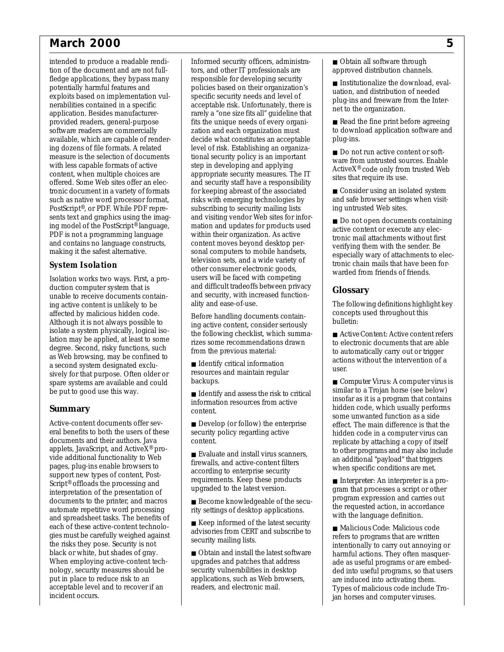# *March 2000 5*

 intended to produce a readable rendi- tion of the document and are not full- available, which are capable of render- ing dozens of file formats. A related measure is the selection of documents with less capable formats of active such as native word processor format, PostScript®, or PDF. While PDF repre- ing model of the PostScript® language, fledge applications, they bypass many potentially harmful features and exploits based on implementation vulnerabilities contained in a specific application. Besides manufacturerprovided readers, general-purpose software readers are commercially content, when multiple choices are offered. Some Web sites offer an electronic document in a variety of formats sents text and graphics using the imag-PDF is not a programming language and contains no language constructs, making it the safest alternative.

#### *System Isolation*

Isolation works two ways. First, a production computer system that is unable to receive documents containing active content is unlikely to be affected by malicious hidden code. Although it is not always possible to isolate a system physically, logical isolation may be applied, at least to some degree. Second, risky functions, such as Web browsing, may be confined to a second system designated exclusively for that purpose. Often older or spare systems are available and could be put to good use this way.

#### **Summary**

 eral benefits to both the users of these put in place to reduce risk to an Active-content documents offer sevdocuments and their authors. Java applets, JavaScript, and ActiveX® provide additional functionality to Web pages, plug-ins enable browsers to support new types of content, Post-Script® offloads the processing and interpretation of the presentation of documents to the printer, and macros automate repetitive word processing and spreadsheet tasks. The benefits of each of these active-content technologies must be carefully weighed against the risks they pose. Security is not black or white, but shades of gray. When employing active-content technology, security measures should be acceptable level and to recover if an incident occurs.

 rarely a "one size fits all" guideline that and security staff have a responsibility television sets, and a wide variety of Informed security officers, administrators, and other IT professionals are responsible for developing security policies based on their organization's specific security needs and level of acceptable risk. Unfortunately, there is fits the unique needs of every organization and each organization must decide what constitutes an acceptable level of risk. Establishing an organizational security policy is an important step in developing and applying appropriate security measures. The IT for keeping abreast of the associated risks with emerging technologies by subscribing to security mailing lists and visiting vendor Web sites for information and updates for products used within their organization. As active content moves beyond desktop personal computers to mobile handsets, other consumer electronic goods, users will be faced with competing and difficult tradeoffs between privacy and security, with increased functionality and ease-of-use.

Before handling documents containing active content, consider seriously the following checklist, which summarizes some recommendations drawn from the previous material:

- Identify critical information resources and maintain regular backups.
- information resources from active ■ Identify and assess the risk to critical content.
- security policy regarding active ■ Develop (or follow) the enterprise content.
- Evaluate and install virus scanners, firewalls, and active-content filters according to enterprise security requirements. Keep these products upgraded to the latest version.
- rity settings of desktop applications. ■ Become knowledgeable of the secu-
- advisories from CERT and subscribe to ■ Keep informed of the latest security security mailing lists.
- applications, such as Web browsers, ■ Obtain and install the latest software upgrades and patches that address security vulnerabilities in desktop readers, and electronic mail.

■ Obtain all software through approved distribution channels.

 net to the organization. ■ Institutionalize the download, evaluation, and distribution of needed plug-ins and freeware from the Inter-

- Read the fine print before agreeing to download application software and plug-ins.
- ActiveX® code only from trusted Web ■ Do not run active content or software from untrusted sources. Enable sites that require its use.
- Consider using an isolated system and safe browser settings when visiting untrusted Web sites.
- Do not open documents containing tronic mail attachments without first tronic chain mails that have been foractive content or execute any elecverifying them with the sender. Be especially wary of attachments to elecwarded from friends of friends.

#### **Glossary**

The following definitions highlight key concepts used throughout this bulletin:

- to electronic documents that are able ■ *Active Content*: Active content refers to automatically carry out or trigger actions without the intervention of a user.
- similar to a Trojan horse (see below) hidden code, which usually performs an additional "payload" that triggers ■ *Computer Virus*: A computer virus is insofar as it is a program that contains some unwanted function as a side effect. The main difference is that the hidden code in a computer virus can replicate by attaching a copy of itself to other programs and may also include when specific conditions are met.
- *Interpreter*: An interpreter is a program that processes a script or other program expression and carries out the requested action, in accordance with the language definition.
- refers to programs that are written intentionally to carry out annoying or Types of malicious code include Tro-■ *Malicious Code*: Malicious code harmful actions. They often masquerade as useful programs or are embedded into useful programs, so that users are induced into activating them. jan horses and computer viruses.